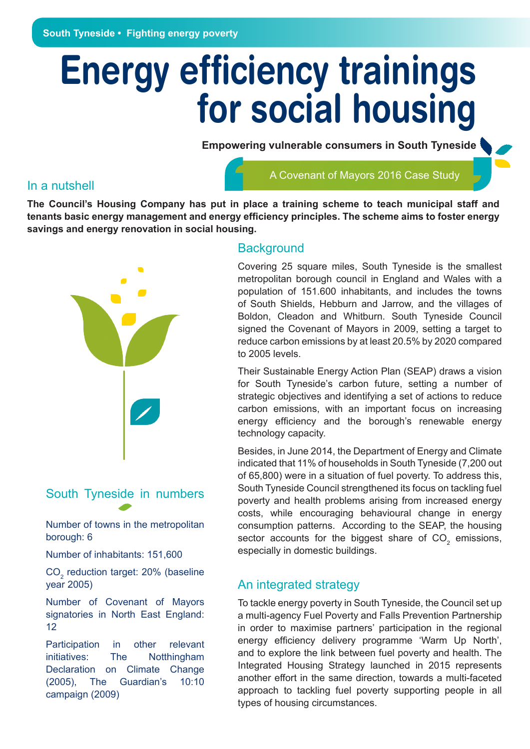# **Energy efficiency trainings for social housing**

**Empowering vulnerable consumers in South Tyneside** 

#### In a nutshell

#### A Covenant of Mayors 2016 Case Study

**The Council's Housing Company has put in place a training scheme to teach municipal staff and tenants basic energy management and energy efficiency principles. The scheme aims to foster energy savings and energy renovation in social housing.**



# South Tyneside in numbers

Number of towns in the metropolitan borough: 6

Number of inhabitants: 151,600

 $\text{CO}_2$  reduction target: 20% (baseline year 2005)

Number of Covenant of Mayors signatories in North East England: 12

Participation in other relevant initiatives: The Notthingham Declaration on Climate Change (2005), The Guardian's 10:10 campaign (2009)

#### **Background**

Covering 25 square miles, South Tyneside is the smallest metropolitan borough council in England and Wales with a population of 151.600 inhabitants, and includes the towns of South Shields, Hebburn and Jarrow, and the villages of Boldon, Cleadon and Whitburn. South Tyneside Council signed the Covenant of Mayors in 2009, setting a target to reduce carbon emissions by at least 20.5% by 2020 compared to 2005 levels.

Their Sustainable Energy Action Plan (SEAP) draws a vision for South Tyneside's carbon future, setting a number of strategic objectives and identifying a set of actions to reduce carbon emissions, with an important focus on increasing energy efficiency and the borough's renewable energy technology capacity.

Besides, in June 2014, the Department of Energy and Climate indicated that 11% of households in South Tyneside (7,200 out of 65,800) were in a situation of fuel poverty. To address this, South Tyneside Council strengthened its focus on tackling fuel poverty and health problems arising from increased energy costs, while encouraging behavioural change in energy consumption patterns. According to the SEAP, the housing sector accounts for the biggest share of  $CO<sub>2</sub>$  emissions, especially in domestic buildings.

## An integrated strategy

To tackle energy poverty in South Tyneside, the Council set up a multi-agency Fuel Poverty and Falls Prevention Partnership in order to maximise partners' participation in the regional energy efficiency delivery programme 'Warm Up North', and to explore the link between fuel poverty and health. The Integrated Housing Strategy launched in 2015 represents another effort in the same direction, towards a multi-faceted approach to tackling fuel poverty supporting people in all types of housing circumstances.